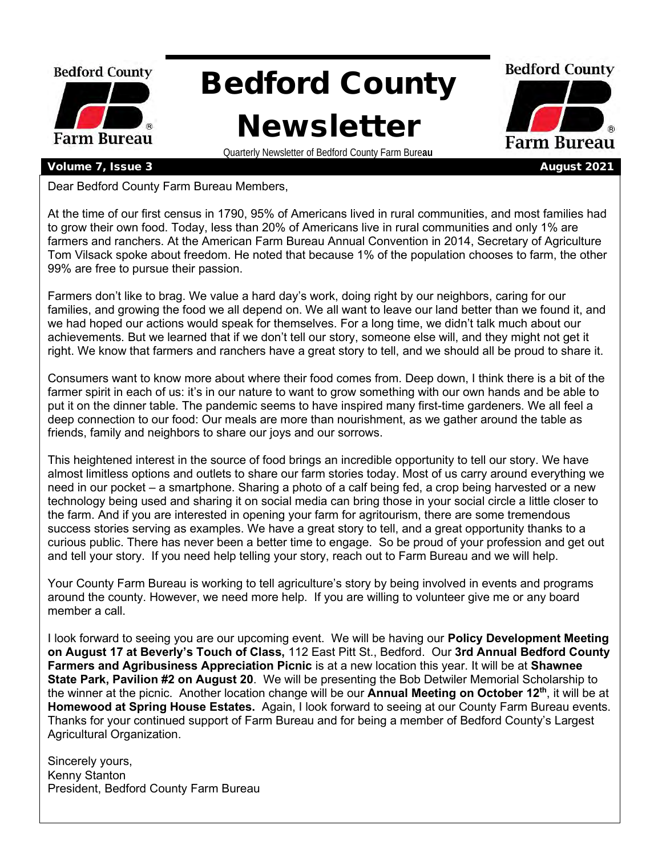

Dear Bedford County Farm Bureau Members,

At the time of our first census in 1790, 95% of Americans lived in rural communities, and most families had to grow their own food. Today, less than 20% of Americans live in rural communities and only 1% are farmers and ranchers. At the American Farm Bureau Annual Convention in 2014, Secretary of Agriculture Tom Vilsack spoke about freedom. He noted that because 1% of the population chooses to farm, the other 99% are free to pursue their passion.

Farmers don't like to brag. We value a hard day's work, doing right by our neighbors, caring for our families, and growing the food we all depend on. We all want to leave our land better than we found it, and we had hoped our actions would speak for themselves. For a long time, we didn't talk much about our achievements. But we learned that if we don't tell our story, someone else will, and they might not get it right. We know that farmers and ranchers have a great story to tell, and we should all be proud to share it.

Consumers want to know more about where their food comes from. Deep down, I think there is a bit of the farmer spirit in each of us: it's in our nature to want to grow something with our own hands and be able to put it on the dinner table. The pandemic seems to have inspired many first-time gardeners. We all feel a deep connection to our food: Our meals are more than nourishment, as we gather around the table as friends, family and neighbors to share our joys and our sorrows.

This heightened interest in the source of food brings an incredible opportunity to tell our story. We have almost limitless options and outlets to share our farm stories today. Most of us carry around everything we need in our pocket – a smartphone. Sharing a photo of a calf being fed, a crop being harvested or a new technology being used and sharing it on social media can bring those in your social circle a little closer to the farm. And if you are interested in opening your farm for agritourism, there are some tremendous success stories serving as examples. We have a great story to tell, and a great opportunity thanks to a curious public. There has never been a better time to engage. So be proud of your profession and get out and tell your story. If you need help telling your story, reach out to Farm Bureau and we will help.

Your County Farm Bureau is working to tell agriculture's story by being involved in events and programs around the county. However, we need more help. If you are willing to volunteer give me or any board member a call.

I look forward to seeing you are our upcoming event. We will be having our **Policy Development Meeting on August 17 at Beverly's Touch of Class,** 112 East Pitt St., Bedford. Our **3rd Annual Bedford County Farmers and Agribusiness Appreciation Picnic** is at a new location this year. It will be at **Shawnee State Park, Pavilion #2 on August 20**. We will be presenting the Bob Detwiler Memorial Scholarship to the winner at the picnic. Another location change will be our **Annual Meeting on October 12th**, it will be at **Homewood at Spring House Estates.** Again, I look forward to seeing at our County Farm Bureau events. Thanks for your continued support of Farm Bureau and for being a member of Bedford County's Largest Agricultural Organization.

Sincerely yours, Kenny Stanton President, Bedford County Farm Bureau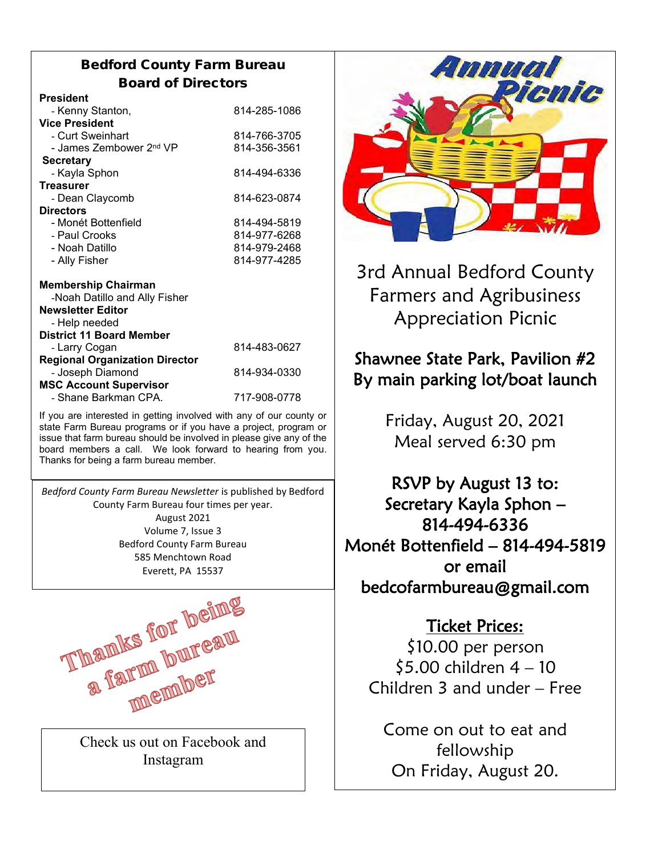## Bedford County Farm Bureau Board of Directors

| President                                 |              |
|-------------------------------------------|--------------|
| - Kenny Stanton,                          | 814-285-1086 |
| <b>Vice President</b>                     |              |
| - Curt Sweinhart                          | 814-766-3705 |
| - James Zembower 2 <sup>nd</sup> VP       | 814-356-3561 |
| <b>Secretary</b>                          |              |
| - Kayla Sphon                             | 814-494-6336 |
| <b>Treasurer</b>                          |              |
| - Dean Claycomb                           | 814-623-0874 |
| Directors                                 |              |
| - Monét Bottenfield                       | 814-494-5819 |
| - Paul Crooks                             | 814-977-6268 |
| - Noah Datillo                            | 814-979-2468 |
| - Ally Fisher                             | 814-977-4285 |
| <b>Membership Chairman</b>                |              |
| -Noah Datillo and Ally Fisher             |              |
| <b>Newsletter Editor</b><br>- Help needed |              |

| <b>District 11 Board Member</b>       |              |
|---------------------------------------|--------------|
| - Larry Cogan                         | 814-483-0627 |
| <b>Regional Organization Director</b> |              |
| - Joseph Diamond                      | 814-934-0330 |
| <b>MSC Account Supervisor</b>         |              |
| - Shane Barkman CPA.                  | 717-908-0778 |

If you are interested in getting involved with any of our county or state Farm Bureau programs or if you have a project, program or issue that farm bureau should be involved in please give any of the board members a call. We look forward to hearing from you. Thanks for being a farm bureau member.

*Bedford County Farm Bureau Newsletter* is published by Bedford County Farm Bureau four times per year. August 2021 Volume 7, Issue 3 Bedford County Farm Bureau 585 Menchtown Road Everett, PA 15537



Check us out on Facebook and Instagram



3rd Annual Bedford County Farmers and Agribusiness Appreciation Picnic

# Shawnee State Park, Pavilion #2 By main parking lot/boat launch

Friday, August 20, 2021 Meal served 6:30 pm

RSVP by August 13 to: Secretary Kayla Sphon – 814-494-6336 Monét Bottenfield – 814-494-5819 or email bedcofarmbureau@gmail.com

# Ticket Prices:

\$10.00 per person \$5.00 children 4 – 10 Children 3 and under – Free

Come on out to eat and fellowship On Friday, August 20.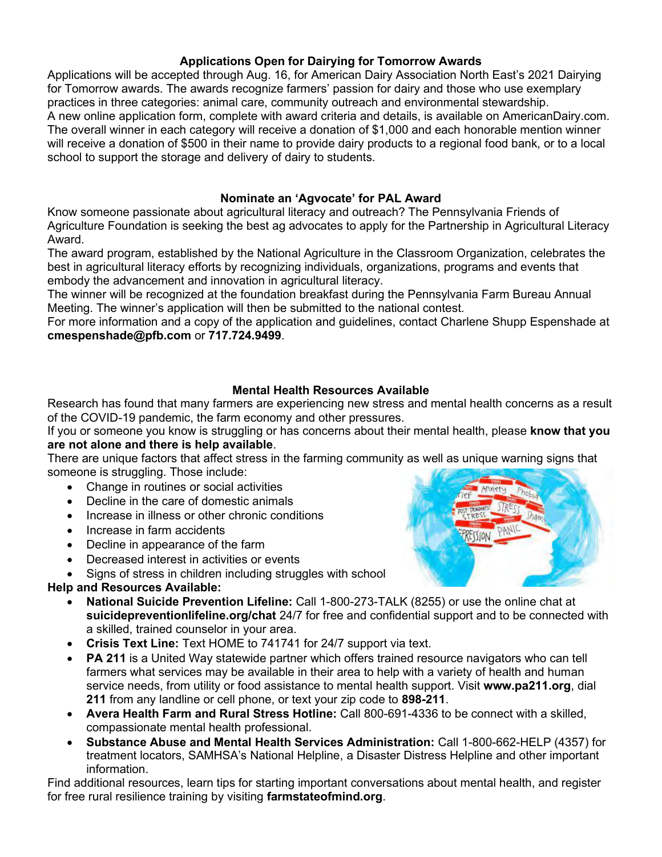## **Applications Open for Dairying for Tomorrow Awards**

Applications will be accepted through Aug. 16, for American Dairy Association North East's 2021 Dairying for Tomorrow awards. The awards recognize farmers' passion for dairy and those who use exemplary practices in three categories: animal care, community outreach and environmental stewardship. A new online application form, complete with award criteria and details, is available on AmericanDairy.com. The overall winner in each category will receive a donation of \$1,000 and each honorable mention winner will receive a donation of \$500 in their name to provide dairy products to a regional food bank, or to a local school to support the storage and delivery of dairy to students.

## **Nominate an 'Agvocate' for PAL Award**

Know someone passionate about agricultural literacy and outreach? The Pennsylvania Friends of Agriculture Foundation is seeking the best ag advocates to apply for the Partnership in Agricultural Literacy Award.

The award program, established by the National Agriculture in the Classroom Organization, celebrates the best in agricultural literacy efforts by recognizing individuals, organizations, programs and events that embody the advancement and innovation in agricultural literacy.

The winner will be recognized at the foundation breakfast during the Pennsylvania Farm Bureau Annual Meeting. The winner's application will then be submitted to the national contest.

For more information and a copy of the application and guidelines, contact Charlene Shupp Espenshade at **cmespenshade@pfb.com** or **717.724.9499**.

## **Mental Health Resources Available**

Research has found that many farmers are experiencing new stress and mental health concerns as a result of the COVID-19 pandemic, the farm economy and other pressures.

If you or someone you know is struggling or has concerns about their mental health, please **know that you are not alone and there is help available**.

There are unique factors that affect stress in the farming community as well as unique warning signs that someone is struggling. Those include:

- Change in routines or social activities
- Decline in the care of domestic animals
- Increase in illness or other chronic conditions
- Increase in farm accidents
- Decline in appearance of the farm
- Decreased interest in activities or events
- Signs of stress in children including struggles with school

## **Help and Resources Available:**

- **National Suicide Prevention Lifeline:** Call 1-800-273-TALK (8255) or use the online chat at **suicidepreventionlifeline.org/chat** 24/7 for free and confidential support and to be connected with a skilled, trained counselor in your area.
- **Crisis Text Line:** Text HOME to 741741 for 24/7 support via text.
- **PA 211** is a United Way statewide partner which offers trained resource navigators who can tell farmers what services may be available in their area to help with a variety of health and human service needs, from utility or food assistance to mental health support. Visit **www.pa211.org**, dial **211** from any landline or cell phone, or text your zip code to **898-211**.
- **Avera Health Farm and Rural Stress Hotline:** Call 800-691-4336 to be connect with a skilled, compassionate mental health professional.
- **Substance Abuse and Mental Health Services Administration:** Call 1-800-662-HELP (4357) for treatment locators, SAMHSA's National Helpline, a Disaster Distress Helpline and other important information.

Find additional resources, learn tips for starting important conversations about mental health, and register for free rural resilience training by visiting **farmstateofmind.org**.

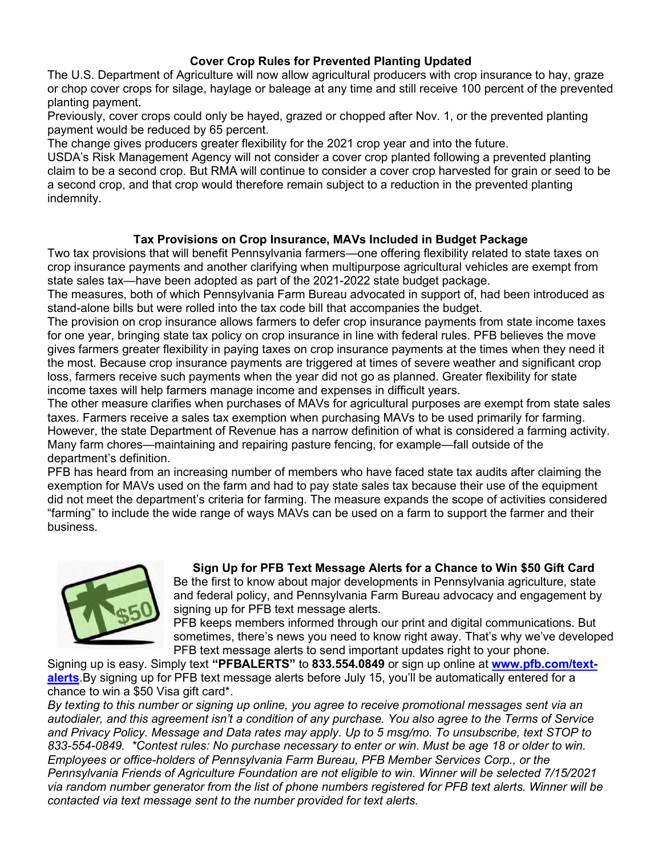## **Cover Crop Rules for Prevented Planting Updated**

The U.S. Department of Agriculture will now allow agricultural producers with crop insurance to hay, graze or chop cover crops for silage, haylage or baleage at any time and still receive 100 percent of the prevented planting payment.

Previously, cover crops could only be hayed, grazed or chopped after Nov. 1, or the prevented planting payment would be reduced by 65 percent.

The change gives producers greater flexibility for the 2021 crop year and into the future.

USDA's Risk Management Agency will not consider a cover crop planted following a prevented planting claim to be a second crop. But RMA will continue to consider a cover crop harvested for grain or seed to be a second crop, and that crop would therefore remain subject to a reduction in the prevented planting indemnity.

## **Tax Provisions on Crop Insurance, MAVs Included in Budget Package**

Two tax provisions that will benefit Pennsylvania farmers—one offering flexibility related to state taxes on crop insurance payments and another clarifying when multipurpose agricultural vehicles are exempt from state sales tax—have been adopted as part of the 2021-2022 state budget package.

The measures, both of which Pennsylvania Farm Bureau advocated in support of, had been introduced as stand-alone bills but were rolled into the tax code bill that accompanies the budget.

The provision on crop insurance allows farmers to defer crop insurance payments from state income taxes for one year, bringing state tax policy on crop insurance in line with federal rules. PFB believes the move gives farmers greater flexibility in paying taxes on crop insurance payments at the times when they need it the most. Because crop insurance payments are triggered at times of severe weather and significant crop loss, farmers receive such payments when the year did not go as planned. Greater flexibility for state income taxes will help farmers manage income and expenses in difficult years.

The other measure clarifies when purchases of MAVs for agricultural purposes are exempt from state sales taxes. Farmers receive a sales tax exemption when purchasing MAVs to be used primarily for farming. However, the state Department of Revenue has a narrow definition of what is considered a farming activity. Many farm chores—maintaining and repairing pasture fencing, for example—fall outside of the department's definition.

PFB has heard from an increasing number of members who have faced state tax audits after claiming the exemption for MAVs used on the farm and had to pay state sales tax because their use of the equipment did not meet the department's criteria for farming. The measure expands the scope of activities considered "farming" to include the wide range of ways MAVs can be used on a farm to support the farmer and their business.



**Sign Up for PFB Text Message Alerts for a Chance to Win \$50 Gift Card** Be the first to know about major developments in Pennsylvania agriculture, state and federal policy, and Pennsylvania Farm Bureau advocacy and engagement by signing up for PFB text message alerts.

PFB keeps members informed through our print and digital communications. But sometimes, there's news you need to know right away. That's why we've developed PFB text message alerts to send important updates right to your phone.

Signing up is easy. Simply text **"PFBALERTS"** to **833.554.0849** or sign up online at **[www.pfb.com/text](http://www.pfb.com/text-alerts)[alerts](http://www.pfb.com/text-alerts)**.By signing up for PFB text message alerts before July 15, you'll be automatically entered for a chance to win a \$50 Visa gift card\*.

*By texting to this number or signing up online, you agree to receive promotional messages sent via an autodialer, and this agreement isn't a condition of any purchase. You also agree to the Terms of Service and Privacy Policy. Message and Data rates may apply. Up to 5 msg/mo. To unsubscribe, text STOP to 833-554-0849. \*Contest rules: No purchase necessary to enter or win. Must be age 18 or older to win. Employees or office-holders of Pennsylvania Farm Bureau, PFB Member Services Corp., or the Pennsylvania Friends of Agriculture Foundation are not eligible to win. Winner will be selected 7/15/2021 via random number generator from the list of phone numbers registered for PFB text alerts. Winner will be contacted via text message sent to the number provided for text alerts.*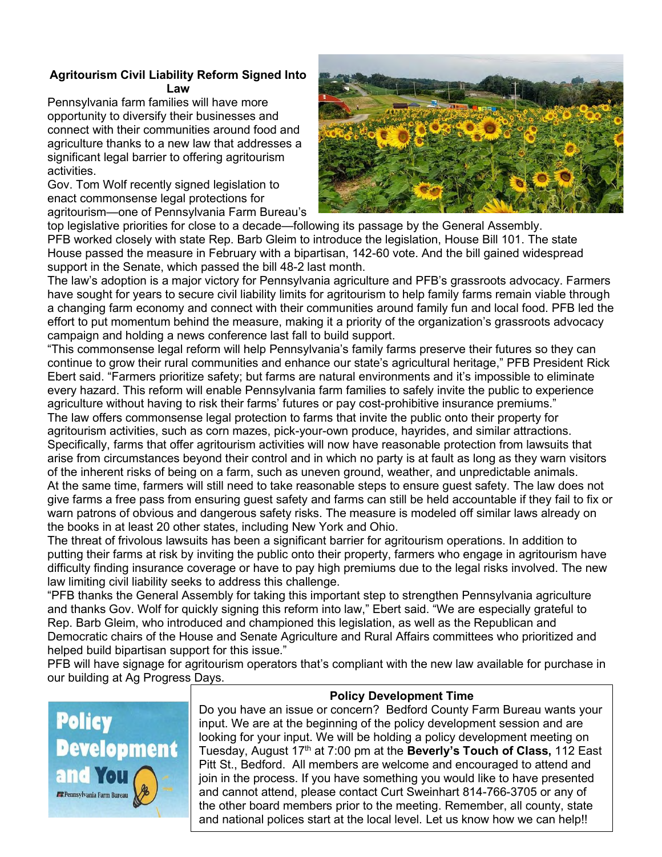## **Agritourism Civil Liability Reform Signed Into Law**

Pennsylvania farm families will have more opportunity to diversify their businesses and connect with their communities around food and agriculture thanks to a new law that addresses a significant legal barrier to offering agritourism activities.

Gov. Tom Wolf recently signed legislation to enact commonsense legal protections for agritourism—one of Pennsylvania Farm Bureau's



top legislative priorities for close to a decade—following its passage by the General Assembly. PFB worked closely with state Rep. Barb Gleim to introduce the legislation, House Bill 101. The state House passed the measure in February with a bipartisan, 142-60 vote. And the bill gained widespread support in the Senate, which passed the bill 48-2 last month.

The law's adoption is a major victory for Pennsylvania agriculture and PFB's grassroots advocacy. Farmers have sought for years to secure civil liability limits for agritourism to help family farms remain viable through a changing farm economy and connect with their communities around family fun and local food. PFB led the effort to put momentum behind the measure, making it a priority of the organization's grassroots advocacy campaign and holding a news conference last fall to build support.

"This commonsense legal reform will help Pennsylvania's family farms preserve their futures so they can continue to grow their rural communities and enhance our state's agricultural heritage," PFB President Rick Ebert said. "Farmers prioritize safety; but farms are natural environments and it's impossible to eliminate every hazard. This reform will enable Pennsylvania farm families to safely invite the public to experience agriculture without having to risk their farms' futures or pay cost-prohibitive insurance premiums." The law offers commonsense legal protection to farms that invite the public onto their property for agritourism activities, such as corn mazes, pick-your-own produce, hayrides, and similar attractions. Specifically, farms that offer agritourism activities will now have reasonable protection from lawsuits that arise from circumstances beyond their control and in which no party is at fault as long as they warn visitors of the inherent risks of being on a farm, such as uneven ground, weather, and unpredictable animals. At the same time, farmers will still need to take reasonable steps to ensure guest safety. The law does not give farms a free pass from ensuring guest safety and farms can still be held accountable if they fail to fix or warn patrons of obvious and dangerous safety risks. The measure is modeled off similar laws already on the books in at least 20 other states, including New York and Ohio.

The threat of frivolous lawsuits has been a significant barrier for agritourism operations. In addition to putting their farms at risk by inviting the public onto their property, farmers who engage in agritourism have difficulty finding insurance coverage or have to pay high premiums due to the legal risks involved. The new law limiting civil liability seeks to address this challenge.

"PFB thanks the General Assembly for taking this important step to strengthen Pennsylvania agriculture and thanks Gov. Wolf for quickly signing this reform into law," Ebert said. "We are especially grateful to Rep. Barb Gleim, who introduced and championed this legislation, as well as the Republican and Democratic chairs of the House and Senate Agriculture and Rural Affairs committees who prioritized and helped build bipartisan support for this issue."

PFB will have signage for agritourism operators that's compliant with the new law available for purchase in our building at Ag Progress Days.



## **Policy Development Time**

Do you have an issue or concern? Bedford County Farm Bureau wants your input. We are at the beginning of the policy development session and are looking for your input. We will be holding a policy development meeting on Tuesday, August 17th at 7:00 pm at the **Beverly's Touch of Class,** 112 East Pitt St., Bedford. All members are welcome and encouraged to attend and join in the process. If you have something you would like to have presented and cannot attend, please contact Curt Sweinhart 814-766-3705 or any of the other board members prior to the meeting. Remember, all county, state and national polices start at the local level. Let us know how we can help!!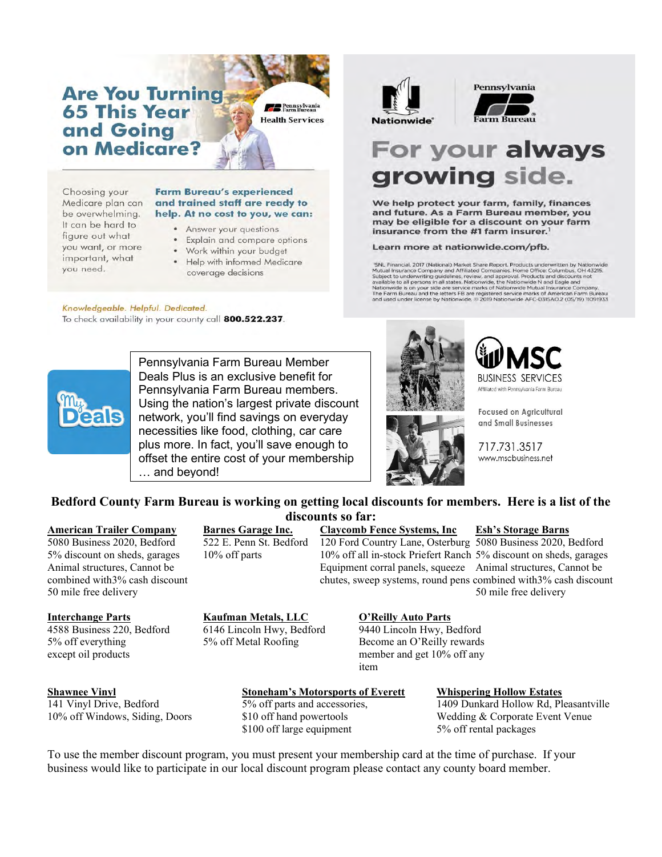**Are You Turning 65 This Year** and Going on Medicare?

Pennsylvani **Health Services** 

Choosing your Medicare plan can be overwhelming. It can be hard to figure out what you want, or more important, what you need.

#### **Farm Bureau's experienced** and trained staff are ready to help. At no cost to you, we can:

- Answer your questions
- Explain and compare options
- . Work within your budget
- Help with informed Medicare coverage decisions

Knowledgeable. Helpful. Dedicated. To check availability in your county call 800.522.237.





# For your always growing side.

We help protect your farm, family, finances and future. As a Farm Bureau member, you may be eligible for a discount on your farm insurance from the #1 farm insurer.<sup>1</sup>

#### Learn more at nationwide.com/pfb.

'SNL Financial, 2017 (National) Market Share Report. Products underwritten by Nationwide<br>Mutual Insurance Company and Affiliated Companies. Home Office: Columbus, OH 43215.<br>Subject to underwritting giudelines, review, and



Pennsylvania Farm Bureau Member Deals Plus is an exclusive benefit for Pennsylvania Farm Bureau members. Using the nation's largest private discount network, you'll find savings on everyday necessities like food, clothing, car care plus more. In fact, you'll save enough to offset the entire cost of your membership … and beyond!



# BUSINESS SERVICES **Affiliated with Pennsylvania Farm Bureau**

**Focused on Agricultural** and Small Businesses

717.731.3517 www.mscbusiness.net

## **Bedford County Farm Bureau is working on getting local discounts for members. Here is a list of the discounts so far:**

### **American Trailer Company Barnes Garage Inc. Claycomb Fence Systems, Inc Esh's Storage Barns** 5080 Business 2020, Bedford 522 E. Penn St. Bedford 120 Ford Country Lane, Osterburg 5080 Business 2020, Bedford 5% discount on sheds, garages 10% off parts 10% off all in-stock Priefert Ranch 5% discount on sheds, garages Animal structures, Cannot be Equipment corral panels, squeeze Animal structures, Cannot be combined with3% cash discount chutes, sweep systems, round pens combined with3% cash discount 50 mile free delivery 50 mile free delivery 50 mile free delivery

#### **Interchange Parts Kaufman Metals, LLC O'Reilly Auto Parts**

4588 Business 220, Bedford 6146 Lincoln Hwy, Bedford 9440 Lincoln Hwy, Bedford 5% off everything 5% off Metal Roofing Become an O'Reilly rewards

except oil products member and get 10% off any item

**Shawnee Vinyl**<br> **Stoneham's Motorsports of Everett**<br> **S%** off parts and accessories,<br> **S%** off parts and accessories,<br> **S%** of parts and accessories,<br> **S%** 2409 Dunkard Hollow Rd, Pl

\$100 off large equipment 5% off rental packages

1409 Dunkard Hollow Rd, Pleasantville 10% off Windows, Siding, Doors \$10 off hand powertools Wedding & Corporate Event Venue

To use the member discount program, you must present your membership card at the time of purchase. If your business would like to participate in our local discount program please contact any county board member.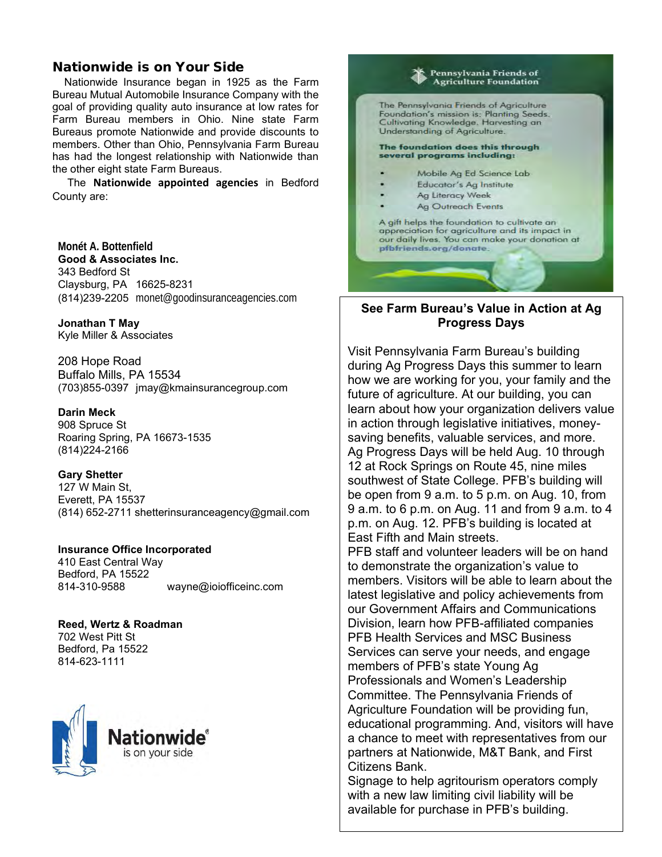## Nationwide is on Your Side

 Nationwide Insurance began in 1925 as the Farm Bureau Mutual Automobile Insurance Company with the goal of providing quality auto insurance at low rates for Farm Bureau members in Ohio. Nine state Farm Bureaus promote Nationwide and provide discounts to members. Other than Ohio, Pennsylvania Farm Bureau has had the longest relationship with Nationwide than the other eight state Farm Bureaus.

 The **Nationwide appointed agencies** in Bedford County are:

#### **Monét A. Bottenfield**

**Good & Associates Inc.** 343 Bedford St Claysburg, PA 16625-8231 (814)239-2205 monet@goodinsuranceagencies.com

**Jonathan T May**

Kyle Miller & Associates

208 Hope Road Buffalo Mills, PA 15534 (703)855-0397 jmay@kmainsurancegroup.com

## **Darin Meck**

908 Spruce St Roaring Spring, PA 16673-1535 (814)224-2166

#### **Gary Shetter**

127 W Main St, Everett, PA 15537 (814) 652-2711 shetterinsuranceagency@gmail.com

**Insurance Office Incorporated** 410 East Central Way Bedford, PA 15522 814-310-9588 wayne@ioiofficeinc.com

**Reed, Wertz & Roadman** 702 West Pitt St Bedford, Pa 15522 814-623-1111





## **See Farm Bureau's Value in Action at Ag Progress Days**

Visit Pennsylvania Farm Bureau's building during Ag Progress Days this summer to learn how we are working for you, your family and the future of agriculture. At our building, you can learn about how your organization delivers value in action through legislative initiatives, moneysaving benefits, valuable services, and more. Ag Progress Days will be held Aug. 10 through 12 at Rock Springs on Route 45, nine miles southwest of State College. PFB's building will be open from 9 a.m. to 5 p.m. on Aug. 10, from 9 a.m. to 6 p.m. on Aug. 11 and from 9 a.m. to 4 p.m. on Aug. 12. PFB's building is located at East Fifth and Main streets. PFB staff and volunteer leaders will be on hand to demonstrate the organization's value to members. Visitors will be able to learn about the latest legislative and policy achievements from our Government Affairs and Communications Division, learn how PFB-affiliated companies PFB Health Services and MSC Business Services can serve your needs, and engage members of PFB's state Young Ag Professionals and Women's Leadership Committee. The Pennsylvania Friends of Agriculture Foundation will be providing fun, educational programming. And, visitors will have a chance to meet with representatives from our partners at Nationwide, M&T Bank, and First Citizens Bank.

Signage to help agritourism operators comply with a new law limiting civil liability will be available for purchase in PFB's building.